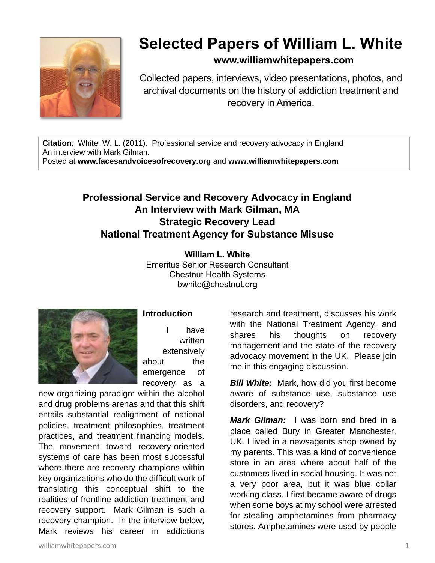

## **Selected Papers of William L. White**

**www.williamwhitepapers.com**

Collected papers, interviews, video presentations, photos, and archival documents on the history of addiction treatment and recovery in America.

**Citation**: White, W. L. (2011). Professional service and recovery advocacy in England An interview with Mark Gilman. Posted at **www.facesandvoicesofrecovery.org** and **www.williamwhitepapers.com**

## **Professional Service and Recovery Advocacy in England An Interview with Mark Gilman, MA Strategic Recovery Lead National Treatment Agency for Substance Misuse**

**William L. White** Emeritus Senior Research Consultant Chestnut Health Systems bwhite@chestnut.org



## **Introduction**

I have written extensively about the emergence of recovery as a

new organizing paradigm within the alcohol and drug problems arenas and that this shift entails substantial realignment of national policies, treatment philosophies, treatment practices, and treatment financing models. The movement toward recovery-oriented systems of care has been most successful where there are recovery champions within key organizations who do the difficult work of translating this conceptual shift to the realities of frontline addiction treatment and recovery support. Mark Gilman is such a recovery champion. In the interview below, Mark reviews his career in addictions

research and treatment, discusses his work with the National Treatment Agency, and shares his thoughts on recovery management and the state of the recovery advocacy movement in the UK. Please join me in this engaging discussion.

**Bill White:** Mark, how did you first become aware of substance use, substance use disorders, and recovery?

*Mark Gilman:* I was born and bred in a place called Bury in Greater Manchester, UK. I lived in a newsagents shop owned by my parents. This was a kind of convenience store in an area where about half of the customers lived in social housing. It was not a very poor area, but it was blue collar working class. I first became aware of drugs when some boys at my school were arrested for stealing amphetamines from pharmacy stores. Amphetamines were used by people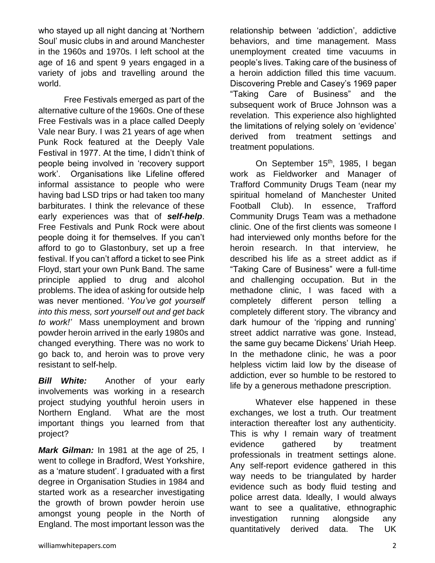who stayed up all night dancing at 'Northern Soul' music clubs in and around Manchester in the 1960s and 1970s. I left school at the age of 16 and spent 9 years engaged in a variety of jobs and travelling around the world.

Free Festivals emerged as part of the alternative culture of the 1960s. One of these Free Festivals was in a place called Deeply Vale near Bury. I was 21 years of age when Punk Rock featured at the Deeply Vale Festival in 1977. At the time, I didn't think of people being involved in 'recovery support work'. Organisations like Lifeline offered informal assistance to people who were having bad LSD trips or had taken too many barbiturates. I think the relevance of these early experiences was that of *self-help*. Free Festivals and Punk Rock were about people doing it for themselves. If you can't afford to go to Glastonbury, set up a free festival. If you can't afford a ticket to see Pink Floyd, start your own Punk Band. The same principle applied to drug and alcohol problems. The idea of asking for outside help was never mentioned. '*You've got yourself into this mess, sort yourself out and get back to work!'* Mass unemployment and brown powder heroin arrived in the early 1980s and changed everything. There was no work to go back to, and heroin was to prove very resistant to self-help.

**Bill White:** Another of your early involvements was working in a research project studying youthful heroin users in Northern England. What are the most important things you learned from that project?

*Mark Gilman:* In 1981 at the age of 25, I went to college in Bradford, West Yorkshire, as a 'mature student'. I graduated with a first degree in Organisation Studies in 1984 and started work as a researcher investigating the growth of brown powder heroin use amongst young people in the North of England. The most important lesson was the

relationship between 'addiction', addictive behaviors, and time management. Mass unemployment created time vacuums in people's lives. Taking care of the business of a heroin addiction filled this time vacuum. Discovering Preble and Casey's 1969 paper "Taking Care of Business" and the subsequent work of Bruce Johnson was a revelation. This experience also highlighted the limitations of relying solely on 'evidence' derived from treatment settings and treatment populations.

On September 15<sup>th</sup>, 1985, I began work as Fieldworker and Manager of Trafford Community Drugs Team (near my spiritual homeland of Manchester United Football Club). In essence, Trafford Community Drugs Team was a methadone clinic. One of the first clients was someone I had interviewed only months before for the heroin research. In that interview, he described his life as a street addict as if "Taking Care of Business" were a full-time and challenging occupation. But in the methadone clinic, I was faced with a completely different person telling a completely different story. The vibrancy and dark humour of the 'ripping and running' street addict narrative was gone. Instead, the same guy became Dickens' Uriah Heep. In the methadone clinic, he was a poor helpless victim laid low by the disease of addiction, ever so humble to be restored to life by a generous methadone prescription.

Whatever else happened in these exchanges, we lost a truth. Our treatment interaction thereafter lost any authenticity. This is why I remain wary of treatment evidence gathered by treatment professionals in treatment settings alone. Any self-report evidence gathered in this way needs to be triangulated by harder evidence such as body fluid testing and police arrest data. Ideally, I would always want to see a qualitative, ethnographic investigation running alongside any quantitatively derived data. The UK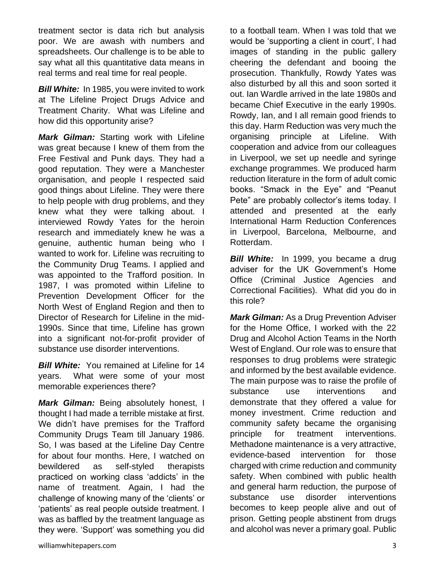treatment sector is data rich but analysis poor. We are awash with numbers and spreadsheets. Our challenge is to be able to say what all this quantitative data means in real terms and real time for real people.

*Bill White:* In 1985, you were invited to work at The Lifeline Project Drugs Advice and Treatment Charity. What was Lifeline and how did this opportunity arise?

*Mark Gilman:* Starting work with Lifeline was great because I knew of them from the Free Festival and Punk days. They had a good reputation. They were a Manchester organisation, and people I respected said good things about Lifeline. They were there to help people with drug problems, and they knew what they were talking about. I interviewed Rowdy Yates for the heroin research and immediately knew he was a genuine, authentic human being who I wanted to work for. Lifeline was recruiting to the Community Drug Teams. I applied and was appointed to the Trafford position. In 1987, I was promoted within Lifeline to Prevention Development Officer for the North West of England Region and then to Director of Research for Lifeline in the mid-1990s. Since that time, Lifeline has grown into a significant not-for-profit provider of substance use disorder interventions.

*Bill White:* You remained at Lifeline for 14 years. What were some of your most memorable experiences there?

*Mark Gilman:* Being absolutely honest, I thought I had made a terrible mistake at first. We didn't have premises for the Trafford Community Drugs Team till January 1986. So, I was based at the Lifeline Day Centre for about four months. Here, I watched on bewildered as self-styled therapists practiced on working class 'addicts' in the name of treatment. Again, I had the challenge of knowing many of the 'clients' or 'patients' as real people outside treatment. I was as baffled by the treatment language as they were. 'Support' was something you did to a football team. When I was told that we would be 'supporting a client in court', I had images of standing in the public gallery cheering the defendant and booing the prosecution. Thankfully, Rowdy Yates was also disturbed by all this and soon sorted it out. Ian Wardle arrived in the late 1980s and became Chief Executive in the early 1990s. Rowdy, Ian, and I all remain good friends to this day. Harm Reduction was very much the organising principle at Lifeline. With cooperation and advice from our colleagues in Liverpool, we set up needle and syringe exchange programmes. We produced harm reduction literature in the form of adult comic books. "Smack in the Eye" and "Peanut Pete" are probably collector's items today. I attended and presented at the early International Harm Reduction Conferences in Liverpool, Barcelona, Melbourne, and Rotterdam.

*Bill White:* In 1999, you became a drug adviser for the UK Government's Home Office (Criminal Justice Agencies and Correctional Facilities). What did you do in this role?

*Mark Gilman:* As a Drug Prevention Adviser for the Home Office, I worked with the 22 Drug and Alcohol Action Teams in the North West of England. Our role was to ensure that responses to drug problems were strategic and informed by the best available evidence. The main purpose was to raise the profile of substance use interventions and demonstrate that they offered a value for money investment. Crime reduction and community safety became the organising principle for treatment interventions. Methadone maintenance is a very attractive, evidence-based intervention for those charged with crime reduction and community safety. When combined with public health and general harm reduction, the purpose of substance use disorder interventions becomes to keep people alive and out of prison. Getting people abstinent from drugs and alcohol was never a primary goal. Public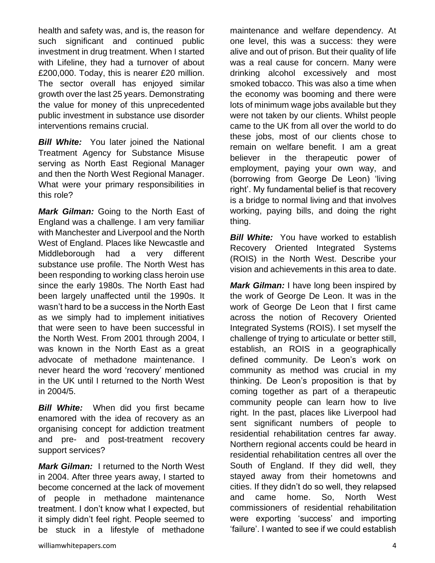health and safety was, and is, the reason for such significant and continued public investment in drug treatment. When I started with Lifeline, they had a turnover of about £200,000. Today, this is nearer £20 million. The sector overall has enjoyed similar growth over the last 25 years. Demonstrating the value for money of this unprecedented public investment in substance use disorder interventions remains crucial.

**Bill White:** You later joined the National Treatment Agency for Substance Misuse serving as North East Regional Manager and then the North West Regional Manager. What were your primary responsibilities in this role?

*Mark Gilman:* Going to the North East of England was a challenge. I am very familiar with Manchester and Liverpool and the North West of England. Places like Newcastle and Middleborough had a very different substance use profile. The North West has been responding to working class heroin use since the early 1980s. The North East had been largely unaffected until the 1990s. It wasn't hard to be a success in the North East as we simply had to implement initiatives that were seen to have been successful in the North West. From 2001 through 2004, I was known in the North East as a great advocate of methadone maintenance. I never heard the word 'recovery' mentioned in the UK until I returned to the North West in 2004/5.

*Bill White:* When did you first became enamored with the idea of recovery as an organising concept for addiction treatment and pre- and post-treatment recovery support services?

*Mark Gilman:* I returned to the North West in 2004. After three years away, I started to become concerned at the lack of movement of people in methadone maintenance treatment. I don't know what I expected, but it simply didn't feel right. People seemed to be stuck in a lifestyle of methadone

maintenance and welfare dependency. At one level, this was a success: they were alive and out of prison. But their quality of life was a real cause for concern. Many were drinking alcohol excessively and most smoked tobacco. This was also a time when the economy was booming and there were lots of minimum wage jobs available but they were not taken by our clients. Whilst people came to the UK from all over the world to do these jobs, most of our clients chose to remain on welfare benefit. I am a great believer in the therapeutic power of employment, paying your own way, and (borrowing from George De Leon) 'living right'. My fundamental belief is that recovery is a bridge to normal living and that involves working, paying bills, and doing the right thing.

*Bill White:* You have worked to establish Recovery Oriented Integrated Systems (ROIS) in the North West. Describe your vision and achievements in this area to date.

*Mark Gilman:* I have long been inspired by the work of George De Leon. It was in the work of George De Leon that I first came across the notion of Recovery Oriented Integrated Systems (ROIS). I set myself the challenge of trying to articulate or better still, establish, an ROIS in a geographically defined community. De Leon's work on community as method was crucial in my thinking. De Leon's proposition is that by coming together as part of a therapeutic community people can learn how to live right. In the past, places like Liverpool had sent significant numbers of people to residential rehabilitation centres far away. Northern regional accents could be heard in residential rehabilitation centres all over the South of England. If they did well, they stayed away from their hometowns and cities. If they didn't do so well, they relapsed and came home. So, North West commissioners of residential rehabilitation were exporting 'success' and importing 'failure'. I wanted to see if we could establish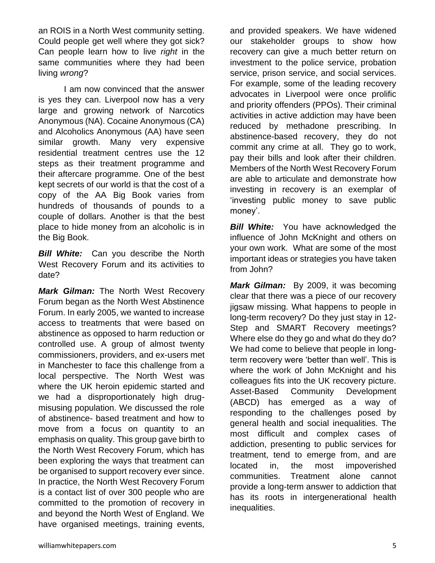an ROIS in a North West community setting. Could people get well where they got sick? Can people learn how to live *right* in the same communities where they had been living *wrong*?

I am now convinced that the answer is yes they can. Liverpool now has a very large and growing network of Narcotics Anonymous (NA). Cocaine Anonymous (CA) and Alcoholics Anonymous (AA) have seen similar growth. Many very expensive residential treatment centres use the 12 steps as their treatment programme and their aftercare programme. One of the best kept secrets of our world is that the cost of a copy of the AA Big Book varies from hundreds of thousands of pounds to a couple of dollars. Another is that the best place to hide money from an alcoholic is in the Big Book.

**Bill White:** Can you describe the North West Recovery Forum and its activities to date?

*Mark Gilman:* The North West Recovery Forum began as the North West Abstinence Forum. In early 2005, we wanted to increase access to treatments that were based on abstinence as opposed to harm reduction or controlled use. A group of almost twenty commissioners, providers, and ex-users met in Manchester to face this challenge from a local perspective. The North West was where the UK heroin epidemic started and we had a disproportionately high drugmisusing population. We discussed the role of abstinence- based treatment and how to move from a focus on quantity to an emphasis on quality. This group gave birth to the North West Recovery Forum, which has been exploring the ways that treatment can be organised to support recovery ever since. In practice, the North West Recovery Forum is a contact list of over 300 people who are committed to the promotion of recovery in and beyond the North West of England. We have organised meetings, training events,

and provided speakers. We have widened our stakeholder groups to show how recovery can give a much better return on investment to the police service, probation service, prison service, and social services. For example, some of the leading recovery advocates in Liverpool were once prolific and priority offenders (PPOs). Their criminal activities in active addiction may have been reduced by methadone prescribing. In abstinence-based recovery, they do not commit any crime at all. They go to work, pay their bills and look after their children. Members of the North West Recovery Forum are able to articulate and demonstrate how investing in recovery is an exemplar of 'investing public money to save public money'.

**Bill White:** You have acknowledged the influence of John McKnight and others on your own work. What are some of the most important ideas or strategies you have taken from John?

*Mark Gilman:* By 2009, it was becoming clear that there was a piece of our recovery jigsaw missing. What happens to people in long-term recovery? Do they just stay in 12- Step and SMART Recovery meetings? Where else do they go and what do they do? We had come to believe that people in longterm recovery were 'better than well'. This is where the work of John McKnight and his colleagues fits into the UK recovery picture. Asset-Based Community Development (ABCD) has emerged as a way of responding to the challenges posed by general health and social inequalities. The most difficult and complex cases of addiction, presenting to public services for treatment, tend to emerge from, and are located in, the most impoverished communities. Treatment alone cannot provide a long-term answer to addiction that has its roots in intergenerational health inequalities.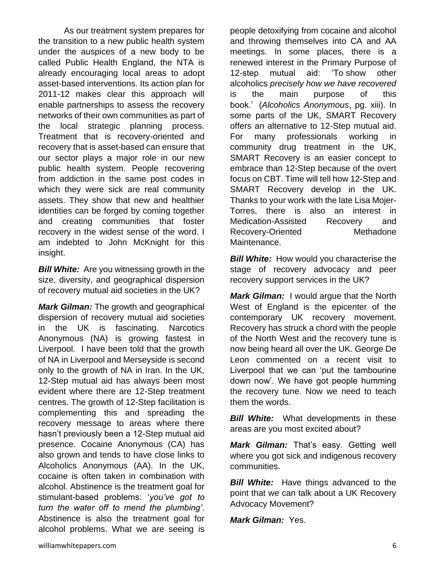As our treatment system prepares for the transition to a new public health system under the auspices of a new body to be called Public Health England, the NTA is already encouraging local areas to adopt asset-based interventions. Its action plan for 2011-12 makes clear this approach will enable partnerships to assess the recovery networks of their own communities as part of the local strategic planning process. Treatment that is recovery-oriented and recovery that is asset-based can ensure that our sector plays a major role in our new public health system. People recovering from addiction in the same post codes in which they were sick are real community assets. They show that new and healthier identities can be forged by coming together and creating communities that foster recovery in the widest sense of the word. I am indebted to John McKnight for this insight.

*Bill White:* Are you witnessing growth in the size, diversity, and geographical dispersion of recovery mutual aid societies in the UK?

*Mark Gilman:* The growth and geographical dispersion of recovery mutual aid societies in the UK is fascinating. Narcotics Anonymous (NA) is growing fastest in Liverpool. I have been told that the growth of NA in Liverpool and Merseyside is second only to the growth of NA in Iran. In the UK, 12-Step mutual aid has always been most evident where there are 12-Step treatment centres. The growth of 12-Step facilitation is complementing this and spreading the recovery message to areas where there hasn't previously been a 12-Step mutual aid presence. Cocaine Anonymous (CA) has also grown and tends to have close links to Alcoholics Anonymous (AA). In the UK, cocaine is often taken in combination with alcohol. Abstinence is the treatment goal for stimulant-based problems: '*you've got to turn the water off to mend the plumbing'*. Abstinence is also the treatment goal for alcohol problems. What we are seeing is

people detoxifying from cocaine and alcohol and throwing themselves into CA and AA meetings. In some places, there is a renewed interest in the Primary Purpose of 12-step mutual aid: 'To show other alcoholics *precisely how we have recovered* is the main purpose of this book.' (*Alcoholics Anonymous*, pg. xiii). In some parts of the UK, SMART Recovery offers an alternative to 12-Step mutual aid. For many professionals working in community drug treatment in the UK, SMART Recovery is an easier concept to embrace than 12-Step because of the overt focus on CBT. Time will tell how 12-Step and SMART Recovery develop in the UK. Thanks to your work with the late Lisa Mojer-Torres, there is also an interest in Medication-Assisted Recovery and Recovery-Oriented Methadone Maintenance.

**Bill White:** How would you characterise the stage of recovery advocacy and peer recovery support services in the UK?

*Mark Gilman:* I would argue that the North West of England is the epicenter of the contemporary UK recovery movement. Recovery has struck a chord with the people of the North West and the recovery tune is now being heard all over the UK. George De Leon commented on a recent visit to Liverpool that we can 'put the tambourine down now'. We have got people humming the recovery tune. Now we need to teach them the words.

*Bill White:* What developments in these areas are you most excited about?

*Mark Gilman:* That's easy. Getting well where you got sick and indigenous recovery communities.

*Bill White:* Have things advanced to the point that we can talk about a UK Recovery Advocacy Movement?

*Mark Gilman:* Yes.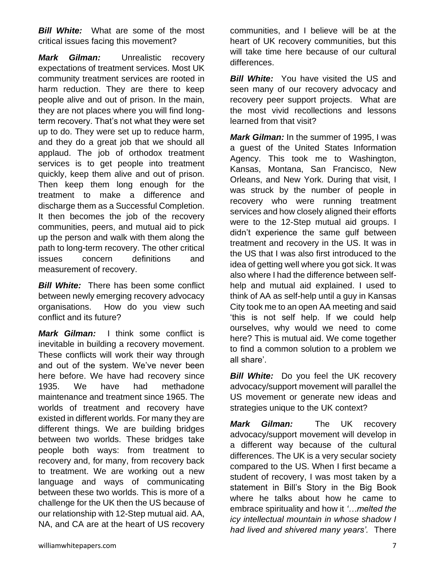*Bill White:* What are some of the most critical issues facing this movement?

*Mark Gilman:* Unrealistic recovery expectations of treatment services. Most UK community treatment services are rooted in harm reduction. They are there to keep people alive and out of prison. In the main, they are not places where you will find longterm recovery. That's not what they were set up to do. They were set up to reduce harm, and they do a great job that we should all applaud. The job of orthodox treatment services is to get people into treatment quickly, keep them alive and out of prison. Then keep them long enough for the treatment to make a difference and discharge them as a Successful Completion. It then becomes the job of the recovery communities, peers, and mutual aid to pick up the person and walk with them along the path to long-term recovery. The other critical issues concern definitions and measurement of recovery.

*Bill White:* There has been some conflict between newly emerging recovery advocacy organisations. How do you view such conflict and its future?

*Mark Gilman:* I think some conflict is inevitable in building a recovery movement. These conflicts will work their way through and out of the system. We've never been here before. We have had recovery since 1935. We have had methadone maintenance and treatment since 1965. The worlds of treatment and recovery have existed in different worlds. For many they are different things. We are building bridges between two worlds. These bridges take people both ways: from treatment to recovery and, for many, from recovery back to treatment. We are working out a new language and ways of communicating between these two worlds. This is more of a challenge for the UK then the US because of our relationship with 12-Step mutual aid. AA, NA, and CA are at the heart of US recovery

communities, and I believe will be at the heart of UK recovery communities, but this will take time here because of our cultural differences.

**Bill White:** You have visited the US and seen many of our recovery advocacy and recovery peer support projects. What are the most vivid recollections and lessons learned from that visit?

*Mark Gilman:* In the summer of 1995, I was a guest of the United States Information Agency. This took me to Washington, Kansas, Montana, San Francisco, New Orleans, and New York. During that visit, I was struck by the number of people in recovery who were running treatment services and how closely aligned their efforts were to the 12-Step mutual aid groups. I didn't experience the same gulf between treatment and recovery in the US. It was in the US that I was also first introduced to the idea of getting well where you got sick. It was also where I had the difference between selfhelp and mutual aid explained. I used to think of AA as self-help until a guy in Kansas City took me to an open AA meeting and said 'this is not self help. If we could help ourselves, why would we need to come here? This is mutual aid. We come together to find a common solution to a problem we all share'.

*Bill White:* Do you feel the UK recovery advocacy/support movement will parallel the US movement or generate new ideas and strategies unique to the UK context?

*Mark Gilman:* The UK recovery advocacy/support movement will develop in a different way because of the cultural differences. The UK is a very secular society compared to the US. When I first became a student of recovery, I was most taken by a statement in Bill's Story in the Big Book where he talks about how he came to embrace spirituality and how it *'…melted the icy intellectual mountain in whose shadow I had lived and shivered many years'.* There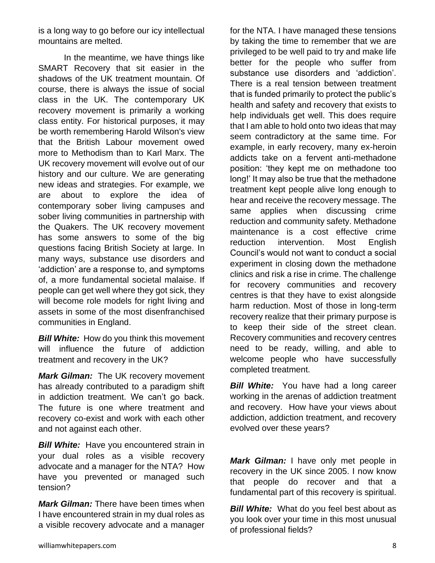is a long way to go before our icy intellectual mountains are melted.

In the meantime, we have things like SMART Recovery that sit easier in the shadows of the UK treatment mountain. Of course, there is always the issue of social class in the UK. The contemporary UK recovery movement is primarily a working class entity. For historical purposes, it may be worth remembering Harold Wilson's view that the British Labour movement owed more to Methodism than to Karl Marx. The UK recovery movement will evolve out of our history and our culture. We are generating new ideas and strategies. For example, we are about to explore the idea of contemporary sober living campuses and sober living communities in partnership with the Quakers. The UK recovery movement has some answers to some of the big questions facing British Society at large. In many ways, substance use disorders and 'addiction' are a response to, and symptoms of, a more fundamental societal malaise. If people can get well where they got sick, they will become role models for right living and assets in some of the most disenfranchised communities in England.

*Bill White:* How do you think this movement will influence the future of addiction treatment and recovery in the UK?

*Mark Gilman:* The UK recovery movement has already contributed to a paradigm shift in addiction treatment. We can't go back. The future is one where treatment and recovery co-exist and work with each other and not against each other.

**Bill White:** Have you encountered strain in your dual roles as a visible recovery advocate and a manager for the NTA? How have you prevented or managed such tension?

*Mark Gilman:* There have been times when I have encountered strain in my dual roles as a visible recovery advocate and a manager

for the NTA. I have managed these tensions by taking the time to remember that we are privileged to be well paid to try and make life better for the people who suffer from substance use disorders and 'addiction'. There is a real tension between treatment that is funded primarily to protect the public's health and safety and recovery that exists to help individuals get well. This does require that I am able to hold onto two ideas that may seem contradictory at the same time. For example, in early recovery, many ex-heroin addicts take on a fervent anti-methadone position: 'they kept me on methadone too long!' It may also be true that the methadone treatment kept people alive long enough to hear and receive the recovery message. The same applies when discussing crime reduction and community safety. Methadone maintenance is a cost effective crime reduction intervention. Most English Council's would not want to conduct a social experiment in closing down the methadone clinics and risk a rise in crime. The challenge for recovery communities and recovery centres is that they have to exist alongside harm reduction. Most of those in long-term recovery realize that their primary purpose is to keep their side of the street clean. Recovery communities and recovery centres need to be ready, willing, and able to welcome people who have successfully completed treatment.

**Bill White:** You have had a long career working in the arenas of addiction treatment and recovery. How have your views about addiction, addiction treatment, and recovery evolved over these years?

*Mark Gilman:* I have only met people in recovery in the UK since 2005. I now know that people do recover and that a fundamental part of this recovery is spiritual.

**Bill White:** What do you feel best about as you look over your time in this most unusual of professional fields?